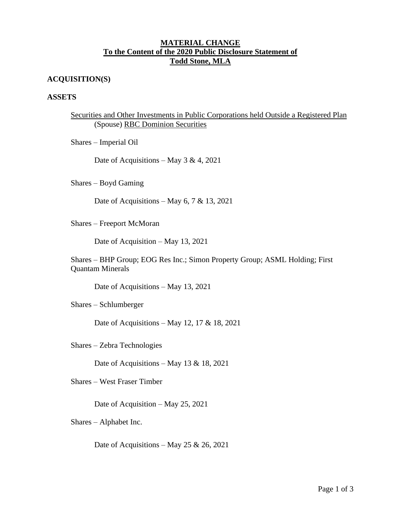# **MATERIAL CHANGE To the Content of the 2020 Public Disclosure Statement of Todd Stone, MLA**

# **ACQUISITION(S)**

## **ASSETS**

## Securities and Other Investments in Public Corporations held Outside a Registered Plan (Spouse) RBC Dominion Securities

Shares – Imperial Oil

Date of Acquisitions – May  $3 \& 4$ , 2021

Shares – Boyd Gaming

Date of Acquisitions – May 6, 7 & 13, 2021

Shares – Freeport McMoran

Date of Acquisition – May 13, 2021

Shares – BHP Group; EOG Res Inc.; Simon Property Group; ASML Holding; First Quantam Minerals

Date of Acquisitions – May 13, 2021

Shares – Schlumberger

Date of Acquisitions – May 12, 17 & 18, 2021

Shares – Zebra Technologies

Date of Acquisitions – May 13 & 18, 2021

Shares – West Fraser Timber

Date of Acquisition – May 25, 2021

Shares – Alphabet Inc.

Date of Acquisitions – May 25 & 26, 2021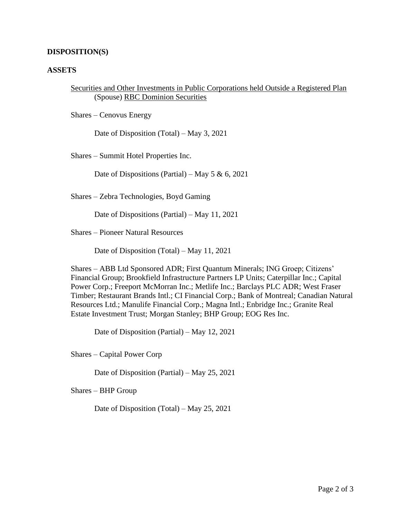#### **DISPOSITION(S)**

#### **ASSETS**

Securities and Other Investments in Public Corporations held Outside a Registered Plan (Spouse) RBC Dominion Securities

Shares – Cenovus Energy

Date of Disposition (Total) – May 3, 2021

Shares – Summit Hotel Properties Inc.

Date of Dispositions (Partial) – May 5 & 6, 2021

Shares – Zebra Technologies, Boyd Gaming

Date of Dispositions (Partial) – May 11, 2021

Shares – Pioneer Natural Resources

Date of Disposition (Total) – May 11, 2021

Shares – ABB Ltd Sponsored ADR; First Quantum Minerals; ING Groep; Citizens' Financial Group; Brookfield Infrastructure Partners LP Units; Caterpillar Inc.; Capital Power Corp.; Freeport McMorran Inc.; Metlife Inc.; Barclays PLC ADR; West Fraser Timber; Restaurant Brands Intl.; CI Financial Corp.; Bank of Montreal; Canadian Natural Resources Ltd.; Manulife Financial Corp.; Magna Intl.; Enbridge Inc.; Granite Real Estate Investment Trust; Morgan Stanley; BHP Group; EOG Res Inc.

Date of Disposition (Partial) – May 12, 2021

Shares – Capital Power Corp

Date of Disposition (Partial) – May 25, 2021

Shares – BHP Group

Date of Disposition (Total) – May 25, 2021